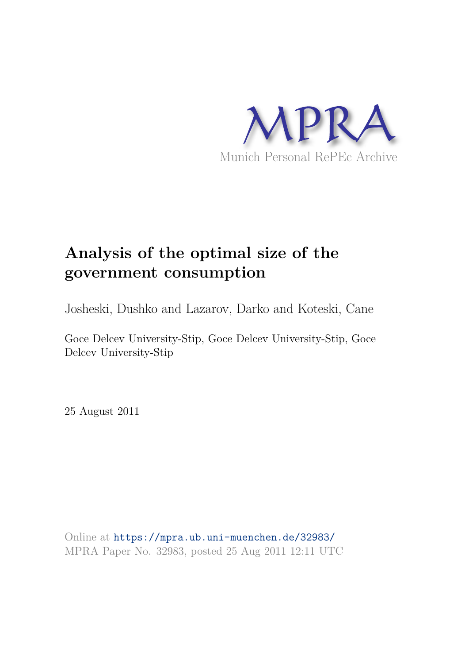

# **Analysis of the optimal size of the government consumption**

Josheski, Dushko and Lazarov, Darko and Koteski, Cane

Goce Delcev University-Stip, Goce Delcev University-Stip, Goce Delcev University-Stip

25 August 2011

Online at https://mpra.ub.uni-muenchen.de/32983/ MPRA Paper No. 32983, posted 25 Aug 2011 12:11 UTC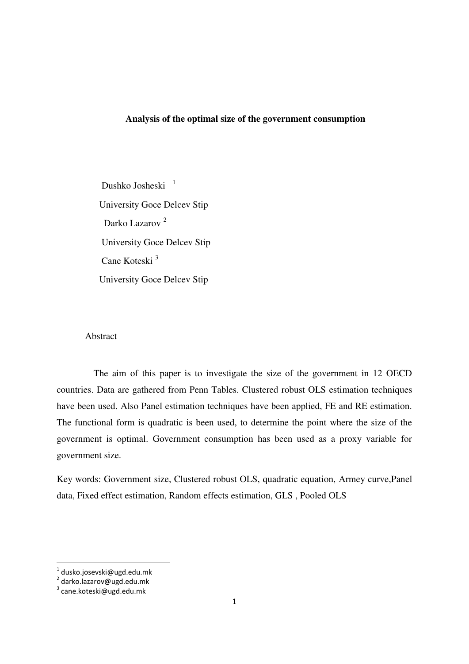### **Analysis of the optimal size of the government consumption**

Dushko Josheski<sup>1</sup> University Goce Delcev Stip Darko Lazarov<sup>2</sup> University Goce Delcev Stip Cane Koteski <sup>3</sup> University Goce Delcev Stip

### Abstract

 The aim of this paper is to investigate the size of the government in 12 OECD countries. Data are gathered from Penn Tables. Clustered robust OLS estimation techniques have been used. Also Panel estimation techniques have been applied, FE and RE estimation. The functional form is quadratic is been used, to determine the point where the size of the government is optimal. Government consumption has been used as a proxy variable for government size.

Key words: Government size, Clustered robust OLS, quadratic equation, Armey curve,Panel data, Fixed effect estimation, Random effects estimation, GLS , Pooled OLS

 1 dusko.josevski@ugd.edu.mk

<sup>2</sup> darko.lazarov@ugd.edu.mk

<sup>&</sup>lt;sup>3</sup> cane.koteski@ugd.edu.mk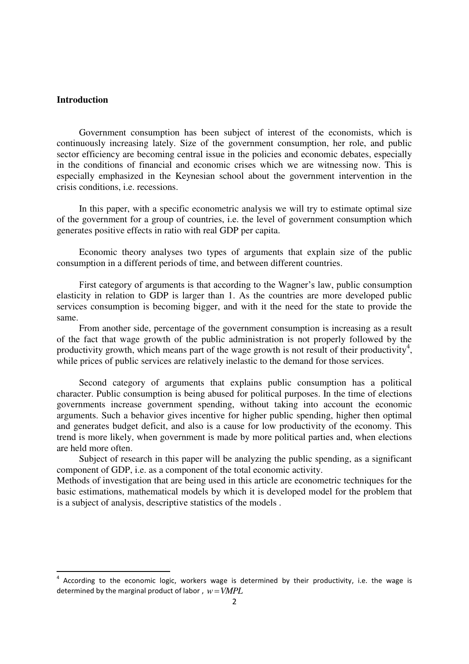### **Introduction**

-

Government consumption has been subject of interest of the economists, which is continuously increasing lately. Size of the government consumption, her role, and public sector efficiency are becoming central issue in the policies and economic debates, especially in the conditions of financial and economic crises which we are witnessing now. This is especially emphasized in the Keynesian school about the government intervention in the crisis conditions, i.e. recessions.

In this paper, with a specific econometric analysis we will try to estimate optimal size of the government for a group of countries, i.e. the level of government consumption which generates positive effects in ratio with real GDP per capita.

Economic theory analyses two types of arguments that explain size of the public consumption in a different periods of time, and between different countries.

First category of arguments is that according to the Wagner's law, public consumption elasticity in relation to GDP is larger than 1. As the countries are more developed public services consumption is becoming bigger, and with it the need for the state to provide the same.

From another side, percentage of the government consumption is increasing as a result of the fact that wage growth of the public administration is not properly followed by the productivity growth, which means part of the wage growth is not result of their productivity<sup>4</sup>, while prices of public services are relatively inelastic to the demand for those services.

Second category of arguments that explains public consumption has a political character. Public consumption is being abused for political purposes. In the time of elections governments increase government spending, without taking into account the economic arguments. Such a behavior gives incentive for higher public spending, higher then optimal and generates budget deficit, and also is a cause for low productivity of the economy. This trend is more likely, when government is made by more political parties and, when elections are held more often.

Subject of research in this paper will be analyzing the public spending, as a significant component of GDP, i.e. as a component of the total economic activity.

Methods of investigation that are being used in this article are econometric techniques for the basic estimations, mathematical models by which it is developed model for the problem that is a subject of analysis, descriptive statistics of the models .

 $4$  According to the economic logic, workers wage is determined by their productivity, i.e. the wage is determined by the marginal product of labor,  $w = VMPL$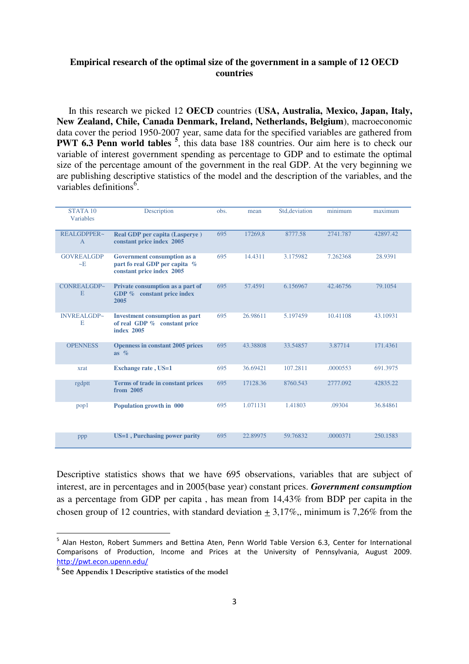### **Empirical research of the optimal size of the government in a sample of 12 OECD countries**

 In this research we picked 12 **OECD** countries (**USA, Australia, Мexico, Japan, Italy, New Zealand, Chile, Canada Denmark, Ireland, Netherlands, Belgium**), macroeconomic data cover the period 1950-2007 year, same data for the specified variables are gathered from **PWT 6.3 Penn world tables**<sup>5</sup>, this data base 188 countries. Our aim here is to check our variable of interest government spending as percentage to GDP and to estimate the optimal size of the percentage amount of the government in the real GDP. At the very beginning we are publishing descriptive statistics of the model and the description of the variables, and the variables definitions<sup>6</sup>.

| STATA <sub>10</sub><br>Variables     | Description                                                                               | obs. | mean     | Std, deviation | minimum  | maximum  |
|--------------------------------------|-------------------------------------------------------------------------------------------|------|----------|----------------|----------|----------|
| <b>REALGDPPER~</b><br>$\overline{A}$ | <b>Real GDP per capita (Lasperye)</b><br>constant price index 2005                        | 695  | 17269,8  | 8777.58        | 2741.787 | 42897.42 |
| <b>GOVREALGDP</b><br>$-E$            | Government consumption as a<br>part fo real GDP per capita %<br>constant price index 2005 | 695  | 14.4311  | 3.175982       | 7.262368 | 28.9391  |
| CONREALGDP~<br>E                     | Private consumption as a part of<br>GDP % constant price index<br>2005                    | 695  | 57.4591  | 6.156967       | 42.46756 | 79.1054  |
| <b>INVREALGDP~</b><br>Е              | <b>Investment consumption as part</b><br>of real GDP % constant price<br>index 2005       | 695  | 26.98611 | 5.197459       | 10.41108 | 43.10931 |
| <b>OPENNESS</b>                      | <b>Openness in constant 2005 prices</b><br>as $\%$                                        | 695  | 43.38808 | 33.54857       | 3.87714  | 171.4361 |
| xrat                                 | <b>Exchange rate</b> , US=1                                                               | 695  | 36.69421 | 107.2811       | .0000553 | 691.3975 |
| rgdptt                               | Terms of trade in constant prices<br>from 2005                                            | 695  | 17128.36 | 8760.543       | 2777.092 | 42835.22 |
| pop1                                 | Population growth in 000                                                                  | 695  | 1.071131 | 1.41803        | .09304   | 36.84861 |
| ppp                                  | US=1, Purchasing power parity                                                             | 695  | 22.89975 | 59.76832       | .0000371 | 250.1583 |

Descriptive statistics shows that we have 695 observations, variables that are subject of interest, are in percentages and in 2005(base year) constant prices. *Government consumption* as a percentage from GDP per capita , has mean from 14,43% from BDP per capita in the chosen group of 12 countries, with standard deviation  $+ 3.17\%$ , minimum is 7,26% from the

<u>.</u>

<sup>5</sup> Alan Heston, Robert Summers and Bettina Aten, Penn World Table Version 6.3, Center for International Comparisons of Production, Income and Prices at the University of Pennsylvania, August 2009. <http://pwt.econ.upenn.edu/>

<sup>6</sup> See **Appendix 1 Descriptive statistics of the model**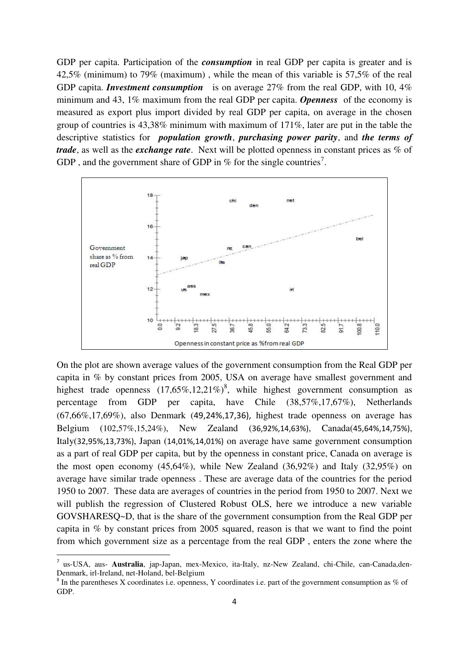GDP per capita. Participation of the *consumption* in real GDP per capita is greater and is 42,5% (minimum) to 79% (maximum) , while the mean of this variable is 57,5% of the real GDP capita. *Investment consumption* is on average 27% from the real GDP, with 10, 4% minimum and 43, 1% maximum from the real GDP per capita. *Openness* of the economy is measured as export plus import divided by real GDP per capita, on average in the chosen group of countries is 43,38% minimum with maximum of 171%, later are put in the table the descriptive statistics for *population growth*, *purchasing power parity*, and *the terms of trade*, as well as the *exchange rate*. Next will be plotted openness in constant prices as % of GDP, and the government share of GDP in % for the single countries<sup>7</sup>.



On the plot are shown average values of the government consumption from the Real GDP per capita in % by constant prices from 2005, USA on average have smallest government and highest trade openness  $(17,65\%,12,21\%)^8$ , while highest government consumption as percentage from GDP per capita, have Chile (38,57%,17,67%), Netherlands (67,66%,17,69%), also Denmark (49,24%,17,36), highest trade openness on average has Belgium (102,57%,15,24%), New Zealand (36,92%,14,63%), Canada(45,64%,14,75%), Italy(32,95%,13,73%), Japan (14,01%,14,01%) on average have same government consumption as a part of real GDP per capita, but by the openness in constant price, Canada on average is the most open economy  $(45,64\%)$ , while New Zealand  $(36,92\%)$  and Italy  $(32,95\%)$  on average have similar trade openness . These are average data of the countries for the period 1950 to 2007. These data are averages of countries in the period from 1950 to 2007. Next we will publish the regression of Clustered Robust OLS, here we introduce a new variable GOVSHARESQ~D, that is the share of the government consumption frоm the Real GDP per capita in % by constant prices from 2005 squared, reason is that we want to find the point from which government size as a percentage from the real GDP , enters the zone where the

-

<sup>7</sup> us-USA, aus- **Australia**, јаp-Japan, mex-Меxico, ita-Italy, nz-New Zealand, chi-Chile, can-Canada,den-Denmаrk, irl-Ireland, net-Holand, bel-Belgium

 $8$  In the parentheses X coordinates i.e. openness, Y coordinates i.e. part of the government consumption as % of GDP.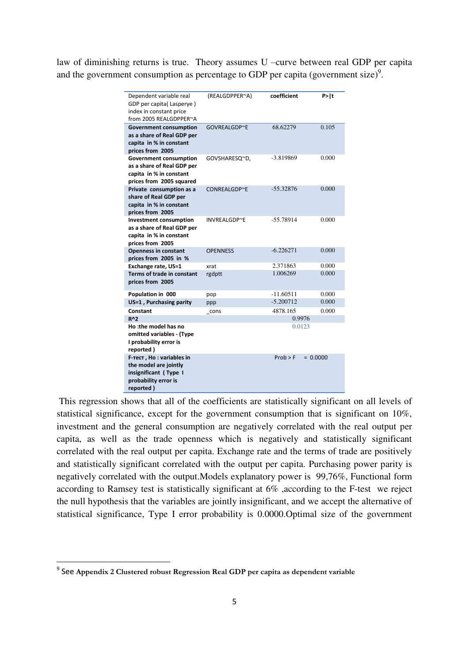law of diminishing returns is true. Theory assumes U –curve between real GDP per capita and the government consumption as percentage to GDP per capita (government size)<sup>9</sup>.

| Dependent variable real<br>GDP per capita(Lasperye)<br>index in constant price<br>from 2005 REALGDPPER~A           | (REALGDPPER~A)  | coefficient | P >  t     |
|--------------------------------------------------------------------------------------------------------------------|-----------------|-------------|------------|
| <b>Government consumption</b><br>as a share of Real GDP per<br>capita in % in constant<br>prices from 2005         | GOVREALGDP~E    | 68.62279    | 0.105      |
| <b>Government consumption</b><br>as a share of Real GDP per<br>capita in % in constant<br>prices from 2005 squared | GOVSHARESQ~D,   | $-3.819869$ | 0.000      |
| Private consumption as a<br>share of Real GDP per<br>capita in % in constant<br>prices from 2005                   | CONREALGDP~E    | $-55.32876$ | 0.000      |
| <b>Investment consumption</b><br>as a share of Real GDP per<br>capita in % in constant<br>prices from 2005         | INVREALGDP~E    | $-55.78914$ | 0.000      |
| <b>Openness in constant</b><br>prices from 2005 in %                                                               | <b>OPENNESS</b> | $-6.226271$ | 0.000      |
| Exchange rate, US=1                                                                                                | xrat            | 2.371863    | 0.000      |
| Terms of trade in constant<br>prices from 2005                                                                     | rgdptt          | 1.006269    | 0.000      |
| Population in 000                                                                                                  | pop             | $-11.60511$ | 0.000      |
| US=1, Purchasing parity                                                                                            | ppp             | $-5.200712$ | 0.000      |
| Constant                                                                                                           | cons            | 4878.165    | 0.000      |
| <b>R^2</b>                                                                                                         |                 | 0.9976      |            |
| Ho :the model has no<br>omitted variables - (Type<br>I probability error is<br>reported)                           |                 | 0.0123      |            |
| F-Tect, Ho: variables in<br>the model are jointly<br>insignificant (Type I<br>probability error is<br>reported)    |                 | Prob > F    | $= 0.0000$ |

 This regression shows that all of the coefficients are statistically significant on all levels of statistical significance, except for the government consumption that is significant on 10%, investment and the general consumption are negatively correlated with the real output per capita, as well as the trade openness which is negatively and statistically significant correlated with the real output per capita. Exchange rate and the terms of trade are positively and statistically significant correlated with the output per capita. Purchasing power parity is negatively correlated with the output.Models explanatory power is 99,76%, Functional form according to Ramsey test is statistically significant at 6% ,according to the F-test we reject the null hypothesis that the variables are jointly insignificant, and we accept the alternative of statistical significance, Type I error probability is 0.0000.Optimal size of the government

 9 See **Appendix 2 Clustered robust Regression Real GDP per capita as dependent variable**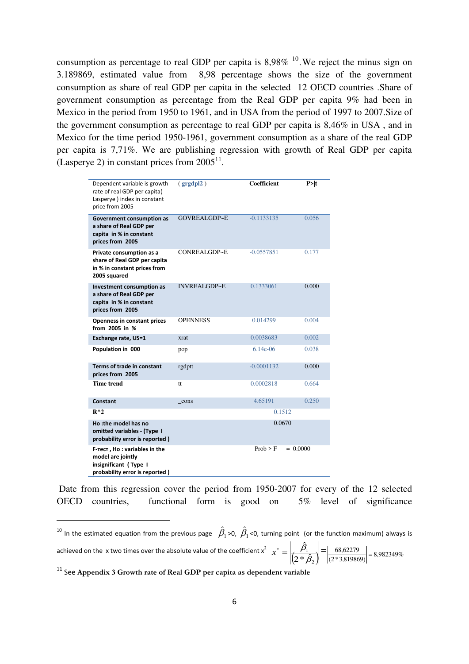consumption as percentage to real GDP per capita is  $8,98\%$  <sup>10</sup>. We reject the minus sign on 3.189869, estimated value from 8,98 percentage shows the size of the government consumption as share of real GDP per capita in the selected 12 OECD countries .Share of government consumption as percentage from the Real GDP per capita 9% had been in Mexico in the period from 1950 to 1961, and in USA from the period of 1997 to 2007.Size of the government consumption as percentage to real GDP per capita is 8,46% in USA , and in Mexico for the time period 1950-1961, government consumption as a share of the real GDP per capita is 7,71%. We are publishing regression with growth of Real GDP per capita (Lasperye 2) in constant prices from  $2005<sup>11</sup>$ .

| Dependent variable is growth<br>rate of real GDP per capita(<br>Lasperye ) index in constant<br>price from 2005 | (grgdpl2)           | <b>Coefficient</b>     | P >  t |
|-----------------------------------------------------------------------------------------------------------------|---------------------|------------------------|--------|
| Government consumption as<br>a share of Real GDP per<br>capita in % in constant<br>prices from 2005             | <b>GOVREALGDP~E</b> | $-0.1133135$           | 0.056  |
| Private consumption as a<br>share of Real GDP per capita<br>in % in constant prices from<br>2005 squared        | CONREALGDP~E        | $-0.0557851$           | 0.177  |
| Investment consumption as<br>a share of Real GDP per<br>capita in % in constant<br>prices from 2005             | <b>INVREALGDP~E</b> | 0.1333061              | 0.000  |
| <b>Openness in constant prices</b><br>from 2005 in %                                                            | <b>OPENNESS</b>     | 0.014299               | 0.004  |
| Exchange rate, US=1                                                                                             | xrat                | 0.0038683              | 0.002  |
| Population in 000                                                                                               | pop                 | $6.14e-06$             | 0.038  |
| Terms of trade in constant<br>prices from 2005                                                                  | rgdptt              | $-0.0001132$           | 0.000  |
| Time trend                                                                                                      | tt                  | 0.0002818              | 0.664  |
| Constant                                                                                                        | cons                | 4.65191                | 0.250  |
| $R^{\wedge}2$                                                                                                   |                     | 0.1512                 |        |
| Ho :the model has no<br>omitted variables - (Type I<br>probability error is reported)                           |                     | 0.0670                 |        |
| F-Tect, Ho: variables in the<br>model are jointly<br>insignificant (Type I<br>probability error is reported)    |                     | Prob > F<br>$= 0.0000$ |        |

 Date from this regression cover the period from 1950-2007 for every of the 12 selected OECD countries, functional form is good on 5% level of significance

.<br>-

<sup>&</sup>lt;sup>10</sup> In the estimated equation from the previous page  $\hat{\beta_1}$  >0,  $\hat{\beta_1}$  <0, turning point (or the function maximum) always is achieved on the  $x$  two times over the absolute value of the coefficient  $x^2$   $x^* = \left| \frac{\beta_1}{\left(2 * \hat{\beta}_2\right)} \right|$ ˆ  $\beta$  $x^* = \left| \frac{\beta_1}{(2*\hat{\beta}_2)} \right| = \left| \frac{68,62279}{(2*3,819869)} \right| = 8,982349\%$  $\frac{68,62279}{258,6225}$ 

<sup>11</sup> See **Appendix 3 Growth rate of Real GDP per capita as dependent variable**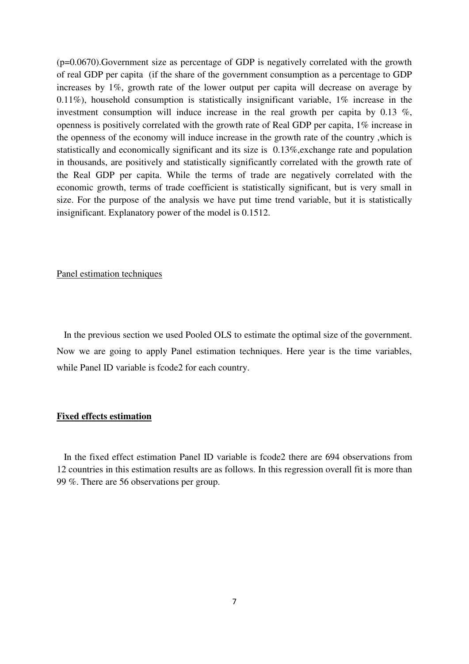(p=0.0670).Government size as percentage of GDP is negatively correlated with the growth of real GDP per capita (if the share of the government consumption as a percentage to GDP increases by 1%, growth rate of the lower output per capita will decrease on average by 0.11%), household consumption is statistically insignificant variable, 1% increase in the investment consumption will induce increase in the real growth per capita by 0.13 %, openness is positively correlated with the growth rate of Real GDP per capita, 1% increase in the openness of the economy will induce increase in the growth rate of the country ,which is statistically and economically significant and its size is 0.13%,exchange rate and population in thousands, are positively and statistically significantly correlated with the growth rate of the Real GDP per capita. While the terms of trade are negatively correlated with the economic growth, terms of trade coefficient is statistically significant, but is very small in size. For the purpose of the analysis we have put time trend variable, but it is statistically insignificant. Explanatory power of the model is 0.1512.

### Panel estimation techniques

 In the previous section we used Pooled OLS to estimate the optimal size of the government. Now we are going to apply Panel estimation techniques. Here year is the time variables, while Panel ID variable is fcode2 for each country.

#### **Fixed effects estimation**

 In the fixed effect estimation Panel ID variable is fcode2 there are 694 observations from 12 countries in this estimation results are as follows. In this regression overall fit is more than 99 %. There are 56 observations per group.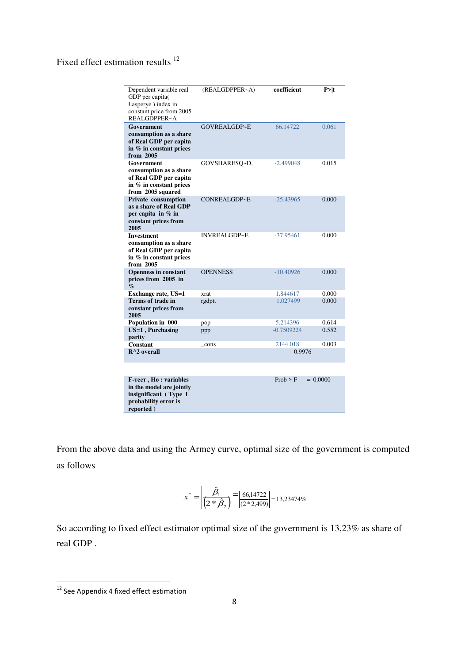Fixed effect estimation results <sup>12</sup>

| Dependent variable real<br>GDP per capita(<br>Lasperye) index in<br>constant price from 2005<br>REALGDPPER~A    | (REALGDPPER~A)      | coefficient  | P>  t      |
|-----------------------------------------------------------------------------------------------------------------|---------------------|--------------|------------|
| Government<br>consumption as a share<br>of Real GDP per capita<br>in % in constant prices<br>from 2005          | GOVREALGDP~E        | 66.14722     | 0.061      |
| Government<br>consumption as a share<br>of Real GDP per capita<br>in % in constant prices<br>from 2005 squared  | GOVSHARESQ~D,       | $-2.499048$  | 0.015      |
| Private consumption<br>as a share of Real GDP<br>per capita in $%$ in<br>constant prices from<br>2005           | CONREALGDP~E        | $-25.43965$  | 0.000      |
| <b>Investment</b><br>consumption as a share<br>of Real GDP per capita<br>in % in constant prices<br>from 2005   | <b>INVREALGDP~E</b> | $-37.95461$  | 0.000      |
| <b>Openness in constant</b><br>prices from 2005 in<br>$\mathcal{O}_0$                                           | <b>OPENNESS</b>     | $-10.40926$  | 0.000      |
| <b>Exchange rate, US=1</b>                                                                                      | xrat                | 1.844617     | 0.000      |
| Terms of trade in<br>constant prices from<br>2005                                                               | rgdptt              | 1.027499     | 0.000      |
| Population in 000                                                                                               | pop                 | 5.214396     | 0.614      |
| US=1, Purchasing<br>parity                                                                                      | ppp                 | $-0.7509224$ | 0.552      |
| <b>Constant</b>                                                                                                 | cons                | 2144.018     | 0.003      |
| $R^{\wedge}2$ overall                                                                                           |                     | 0.9976       |            |
|                                                                                                                 |                     |              |            |
| F-Tect, Ho: variables<br>in the model are jointly<br>insignificant (Type I<br>probability error is<br>reported) |                     | Prob > F     | $= 0.0000$ |

From the above data and using the Armey curve, optimal size of the government is computed as follows

$$
x^* = \left| \frac{\hat{\beta}_1}{\left(2 * \hat{\beta}_2\right)} \right| = \left| \frac{66,14722}{\left(2 * 2,499\right)} \right| = 13,23474\%
$$

So according to fixed effect estimator optimal size of the government is 13,23% as share of real GDP .

-

<sup>&</sup>lt;sup>12</sup> See Appendix 4 fixed effect estimation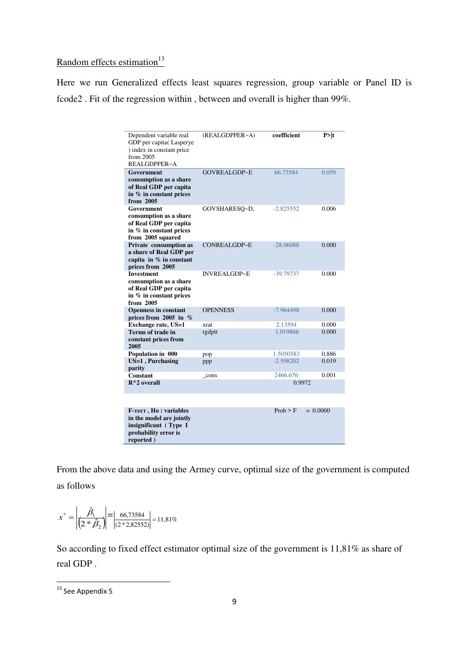## Random effects estimation $13$

Here we run Generalized effects least squares regression, group variable or Panel ID is fcode2 . Fit of the regression within , between and overall is higher than 99%.

| Dependent variable real<br>GDP per capita(Lasperye<br>) index in constant price<br>from 2005<br>REALGDPPER~A    | (REALGDPPER~A)      | coefficient | P>  t      |
|-----------------------------------------------------------------------------------------------------------------|---------------------|-------------|------------|
| Government<br>consumption as a share<br>of Real GDP per capita<br>in % in constant prices<br>from 2005          | GOVREALGDP~E        | 66.73584    | 0.059      |
| Government<br>consumption as a share<br>of Real GDP per capita<br>in % in constant prices<br>from 2005 squared  | GOVSHARESQ~D,       | $-2.825552$ | 0.006      |
| Private consumption as<br>a share of Real GDP per<br>capita in % in constant<br>prices from 2005                | CONREALGDP~E        | $-28.06088$ | 0.000      |
| <b>Investment</b><br>consumption as a share<br>of Real GDP per capita<br>in % in constant prices<br>from 2005   | <b>INVREALGDP~E</b> | -39.79737   | 0.000      |
| <b>Openness in constant</b><br>prices from 2005 in $%$                                                          | <b>OPENNESS</b>     | $-7.964498$ | 0.000      |
| Exchange rate, US=1                                                                                             | xrat                | 2.13594     | 0.000      |
| <b>Terms of trade in</b><br>constant prices from<br>2005                                                        | rgdptt              | 1.019866    | 0.000      |
| Population in 000                                                                                               | pop                 | 1.5050583   | 0.886      |
| US=1, Purchasing<br>parity                                                                                      | ppp                 | $-2.598202$ | 0.019      |
| Constant                                                                                                        | cons                | 2466.676    | 0.001      |
| $R^{\wedge}2$ overall                                                                                           |                     | 0.9972      |            |
|                                                                                                                 |                     |             |            |
| F-Tect, Ho: variables<br>in the model are jointly<br>insignificant (Type I<br>probability error is<br>reported) |                     | Prob > F    | $= 0.0000$ |

From the above data and using the Armey curve, optimal size of the government is computed as follows

$$
x^* = \left| \frac{\hat{\beta}_1}{\left(2 * \hat{\beta}_2\right)} \right| = \left| \frac{66,73584}{\left(2 * 2,82552\right)} \right| = 11,81\%
$$

So according to fixed effect estimator optimal size of the government is 11,81% as share of real GDP .

-

 $13$  See Appendix 5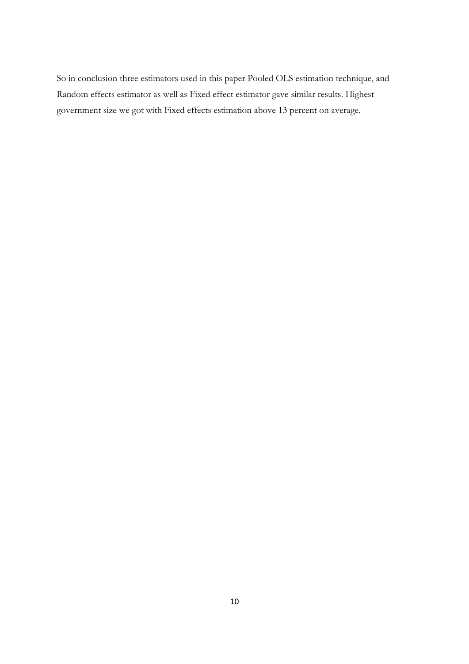So in conclusion three estimators used in this paper Pooled OLS estimation technique, and Random effects estimator as well as Fixed effect estimator gave similar results. Highest government size we got with Fixed effects estimation above 13 percent on average.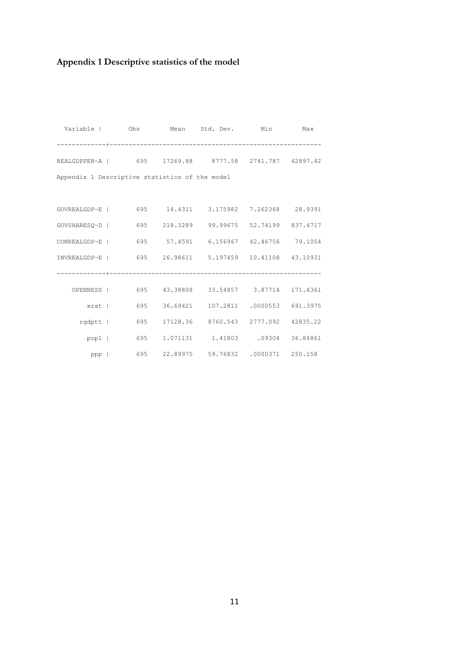# **Appendix 1 Descriptive statistics of the model**

| Variable   Obs Mean Std. Dev. Min Max                  |                                     |          |
|--------------------------------------------------------|-------------------------------------|----------|
|                                                        |                                     |          |
| REALGDPPER~A   695 17269.88 8777.58 2741.787 42897.42  |                                     |          |
| Appendix 1 Descriptive statistics of the model         |                                     |          |
|                                                        |                                     |          |
| GOVREALGDP~E   695 14.4311 3.175982 7.262368 28.9391   |                                     |          |
| GOVSHARESQ~D   695 218.3289 99.99675 52.74199 837.4717 |                                     |          |
| CONREALGDP~E   695 57.4591 6.156967 42.46756 79.1054   |                                     |          |
| INVREALGDP~E   695 26.98611 5.197459 10.41108 43.10931 |                                     |          |
|                                                        |                                     |          |
| OPENNESS   695 43.38808 33.54857 3.87714 171.4361      |                                     |          |
| xrat   695 36.69421 107.2811 .0000553 691.3975         |                                     |          |
| rgdptt   695                                           | 17128.36 8760.543 2777.092 42835.22 |          |
| pop1   695                                             | 1.071131 1.41803 .09304             | 36.84861 |
| ppp   695 22.89975 59.76832 .0000371 250.158           |                                     |          |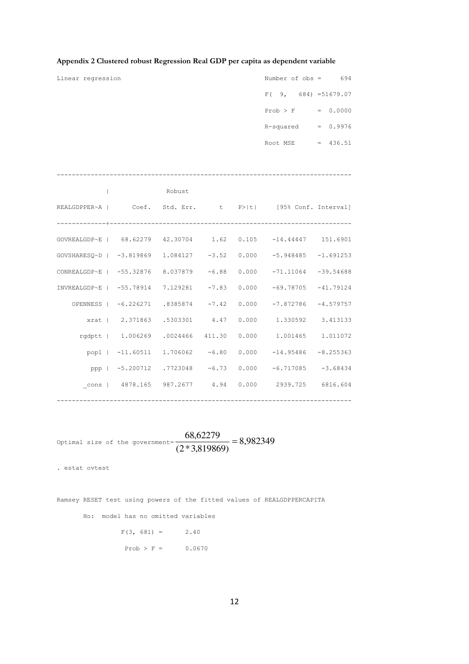| Linear regression |              |        |  | Number of $obs = 694$                                                 |  |
|-------------------|--------------|--------|--|-----------------------------------------------------------------------|--|
|                   |              |        |  | $F(9, 684) = 51679.07$                                                |  |
|                   |              |        |  | $Prob > F$ = 0.0000                                                   |  |
|                   |              |        |  | $R$ -squared = $0.9976$                                               |  |
|                   |              |        |  | Root MSE = $436.51$                                                   |  |
|                   |              |        |  |                                                                       |  |
|                   |              |        |  |                                                                       |  |
|                   | $\mathbf{I}$ | Robust |  |                                                                       |  |
|                   |              |        |  | REALGDPPER~A   Coef. Std. Err. t P> t  [95% Conf. Interval]           |  |
|                   |              |        |  |                                                                       |  |
|                   |              |        |  | GOVREALGDP~E   68.62279 42.30704 1.62 0.105 -14.44447 151.6901        |  |
|                   |              |        |  | GOVSHARESQ~D   -3.819869 1.084127 -3.52 0.000 -5.948485 -1.691253     |  |
|                   |              |        |  | CONREALGDP~E   -55.32876 8.037879 -6.88 0.000 -71.11064 -39.54688     |  |
|                   |              |        |  | INVREALGDP~E   -55.78914 7.129281 -7.83 0.000 -69.78705 -41.79124     |  |
|                   |              |        |  | OPENNESS   -6.226271 .8385874 -7.42 0.000 -7.872786 -4.579757         |  |
|                   |              |        |  | xrat   2.371863 .5303301 4.47 0.000 1.330592 3.413133                 |  |
|                   |              |        |  | rgdptt   1.006269 .0024466 411.30 0.000 1.001465 1.011072             |  |
|                   |              |        |  | pop1   $-11.60511$ $1.706062$ $-6.80$ $0.000$ $-14.95486$ $-8.255363$ |  |
|                   |              |        |  | ppp   -5.200712 .7723048 -6.73 0.000 -6.717085 -3.68434               |  |
|                   |              |        |  | cons   4878.165 987.2677  4.94  0.000  2939.725  6816.604             |  |
|                   |              |        |  |                                                                       |  |

### **Appendix 2 Clustered robust Regression Real GDP per capita as dependent variable**

Optimal size of the government=  $\frac{60,62275}{(2.12,8.918060)} = 8,982349$  $(2 * 3,819869)$  $\frac{68,62279}{100000000}$  =

. estat ovtest

Ramsey RESET test using powers of the fitted values of REALGDPPERCAPITA

Ho: model has no omitted variables

 $F(3, 681) = 2.40$ Prob > F =  $0.0670$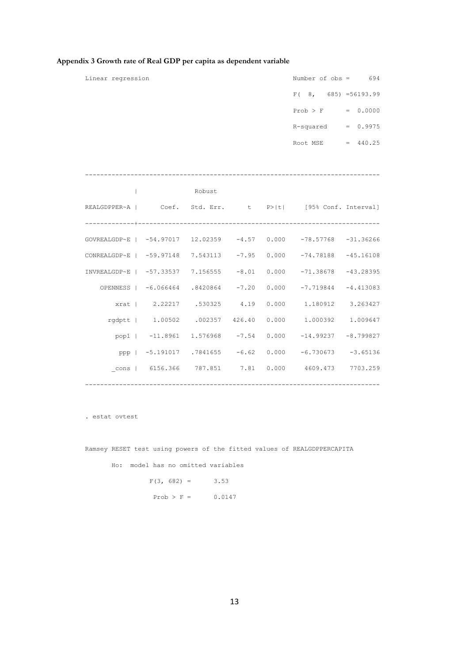| Linear regression                                                 |        |  | Number of $obs = 694$                                         |  |
|-------------------------------------------------------------------|--------|--|---------------------------------------------------------------|--|
|                                                                   |        |  | $F(8, 685) = 56193.99$                                        |  |
|                                                                   |        |  | $Prob > F$ = 0.0000                                           |  |
|                                                                   |        |  | $R$ -squared = $0.9975$                                       |  |
|                                                                   |        |  | Root MSE = $440.25$                                           |  |
|                                                                   |        |  |                                                               |  |
|                                                                   |        |  |                                                               |  |
| $\perp$                                                           | Robust |  |                                                               |  |
| REALGDPPER~A   Coef. Std. Err. t P> t  [95% Conf. Interval]       |        |  |                                                               |  |
|                                                                   |        |  |                                                               |  |
| GOVREALGDP~E   -54.97017 12.02359 -4.57 0.000 -78.57768 -31.36266 |        |  |                                                               |  |
| CONREALGDP~E   -59.97148 7.543113 -7.95 0.000 -74.78188 -45.16108 |        |  |                                                               |  |
| INVREALGDP~E   -57.33537 7.156555 -8.01 0.000 -71.38678 -43.28395 |        |  |                                                               |  |
|                                                                   |        |  | OPENNESS   -6.066464 .8420864 -7.20 0.000 -7.719844 -4.413083 |  |
|                                                                   |        |  | xrat   2.22217 .530325 4.19 0.000 1.180912 3.263427           |  |
|                                                                   |        |  | rgdptt   1.00502 .002357 426.40 0.000 1.000392 1.009647       |  |
|                                                                   |        |  | pop1   -11.8961 1.576968 -7.54 0.000 -14.99237 -8.799827      |  |
|                                                                   |        |  | ppp   -5.191017 .7841655 -6.62 0.000 -6.730673 -3.65136       |  |
|                                                                   |        |  | cons   6156.366 787.851 7.81 0.000 4609.473 7703.259          |  |
|                                                                   |        |  |                                                               |  |

### **Appendix 3 Growth rate of Real GDP per capita as dependent variable**

. estat ovtest

Ramsey RESET test using powers of the fitted values of REALGDPPERCAPITA

Ho: model has no omitted variables

 $F(3, 682) = 3.53$ Prob >  $F = 0.0147$ 

13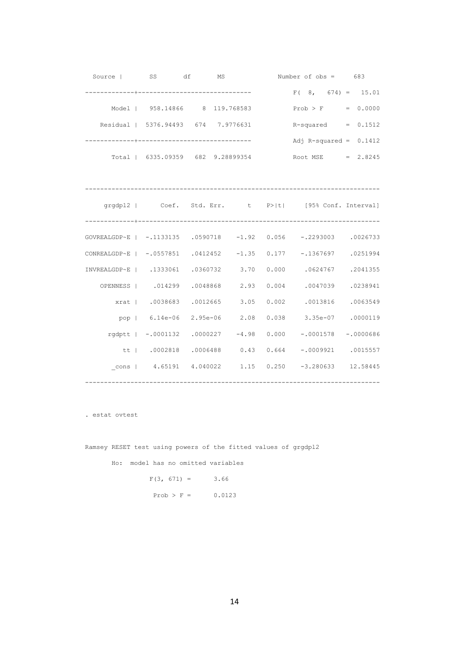|                                                                  | Source   SS df MS                                                                |  | Number of obs = 683 |  |  |                             |
|------------------------------------------------------------------|----------------------------------------------------------------------------------|--|---------------------|--|--|-----------------------------|
|                                                                  |                                                                                  |  |                     |  |  | $F(8, 674) = 15.01$         |
|                                                                  | Model   958.14866 8 119.768583                                                   |  |                     |  |  | $Prob > F = 0.0000$         |
|                                                                  | Residual   5376.94493 674 7.9776631                                              |  |                     |  |  | $R$ -squared = $0.1512$     |
|                                                                  | +-------------------------------                                                 |  |                     |  |  | Adj R-squared = $0.1412$    |
|                                                                  | Total   6335.09359 682 9.28899354 Root MSE = 2.8245                              |  |                     |  |  |                             |
|                                                                  |                                                                                  |  |                     |  |  |                             |
|                                                                  |                                                                                  |  |                     |  |  |                             |
|                                                                  | grgdpl2   Coef. Std. Err. t P> t  [95% Conf. Interval]                           |  |                     |  |  |                             |
|                                                                  |                                                                                  |  |                     |  |  |                             |
| GOVREALGDP~E   -.1133135 .0590718 -1.92 0.056 -.2293003 .0026733 |                                                                                  |  |                     |  |  |                             |
| CONREALGDP~E   -.0557851 .0412452 -1.35 0.177 -.1367697 .0251994 |                                                                                  |  |                     |  |  |                             |
| INVREALGDP~E   .1333061 .0360732 3.70 0.000 .0624767 .2041355    |                                                                                  |  |                     |  |  |                             |
|                                                                  | OPENNESS   .014299 .0048868 2.93                                                 |  |                     |  |  | 0.004 .0047039 .0238941     |
|                                                                  | xrat   .0038683 .0012665 3.05                                                    |  |                     |  |  | $0.002$ .0013816 .0063549   |
|                                                                  | pop   6.14e-06 2.95e-06 2.08                                                     |  |                     |  |  | 0.038 3.35e-07 .0000119     |
|                                                                  | rgdptt   -.0001132 .0000227 -4.98                                                |  |                     |  |  | $0.000 - 0001578 - 0000686$ |
|                                                                  | tt   .0002818 .0006488        0.43        0.664        -.0009921        .0015557 |  |                     |  |  |                             |
|                                                                  | cons   4.65191 4.040022 1.15 0.250 -3.280633 12.58445                            |  |                     |  |  |                             |
|                                                                  |                                                                                  |  |                     |  |  |                             |

. estat ovtest

Ramsey RESET test using powers of the fitted values of grgdpl2

Ho: model has no omitted variables

 $F(3, 671) = 3.66$  $Prob > F = 0.0123$ 

14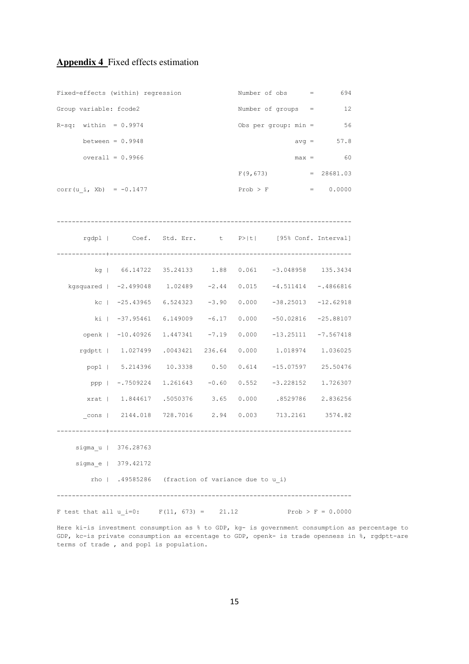### **Appendix 4** Fixed effects estimation

| Fixed-effects (within) regression                                           |                                                                    |                                                   |  |              | Number of obs =                                            | 694          |  |  |  |
|-----------------------------------------------------------------------------|--------------------------------------------------------------------|---------------------------------------------------|--|--------------|------------------------------------------------------------|--------------|--|--|--|
| Group variable: fcode2                                                      |                                                                    |                                                   |  |              | Number of groups $=$ 12                                    |              |  |  |  |
| $R-sq:$ within = 0.9974                                                     |                                                                    |                                                   |  |              | Obs per group: $min =$                                     | 56           |  |  |  |
| between = $0.9948$                                                          |                                                                    |                                                   |  |              |                                                            | $avg = 57.8$ |  |  |  |
| overall = $0.9966$                                                          |                                                                    |                                                   |  |              |                                                            | $max = 60$   |  |  |  |
|                                                                             |                                                                    |                                                   |  |              | $F(9, 673) = 28681.03$                                     |              |  |  |  |
| corr (u i, Xb) = $-0.1477$                                                  |                                                                    |                                                   |  | $Prob$ > $F$ |                                                            | $= 0.0000$   |  |  |  |
|                                                                             |                                                                    |                                                   |  |              |                                                            |              |  |  |  |
|                                                                             |                                                                    |                                                   |  |              | rgdpl   Coef. Std. Err. t P> t  [95% Conf. Interval]       |              |  |  |  |
|                                                                             |                                                                    |                                                   |  |              | kg   66.14722 35.24133 1.88 0.061 -3.048958 135.3434       |              |  |  |  |
| kgsquared   -2.499048    1.02489    -2.44   0.015    -4.511414    -.4866816 |                                                                    |                                                   |  |              |                                                            |              |  |  |  |
|                                                                             |                                                                    |                                                   |  |              | kc   -25.43965 6.524323 -3.90 0.000 -38.25013 -12.62918    |              |  |  |  |
|                                                                             |                                                                    |                                                   |  |              | ki   -37.95461 6.149009 -6.17 0.000 -50.02816 -25.88107    |              |  |  |  |
|                                                                             |                                                                    |                                                   |  |              | openk   -10.40926 1.447341 -7.19 0.000 -13.25111 -7.567418 |              |  |  |  |
|                                                                             |                                                                    |                                                   |  |              | rgdptt   1.027499 .0043421 236.64 0.000 1.018974 1.036025  |              |  |  |  |
|                                                                             |                                                                    |                                                   |  |              | pop1   5.214396 10.3338 0.50 0.614 -15.07597               | 25.50476     |  |  |  |
|                                                                             |                                                                    |                                                   |  |              | ppp   -.7509224 1.261643 -0.60 0.552 -3.228152             | 1.726307     |  |  |  |
|                                                                             |                                                                    |                                                   |  |              | xrat   1.844617 .5050376 3.65 0.000 .8529786 2.836256      |              |  |  |  |
|                                                                             |                                                                    |                                                   |  |              | cons   2144.018 728.7016  2.94  0.003  713.2161  3574.82   |              |  |  |  |
|                                                                             |                                                                    |                                                   |  |              |                                                            |              |  |  |  |
|                                                                             | sigma u   376.28763                                                |                                                   |  |              |                                                            |              |  |  |  |
|                                                                             | sigma e   379.42172                                                |                                                   |  |              |                                                            |              |  |  |  |
|                                                                             |                                                                    | rho   .49585286 (fraction of variance due to u i) |  |              |                                                            |              |  |  |  |
|                                                                             | F test that all u i=0: $F(11, 673) = 21.12$<br>Prob > $F = 0.0000$ |                                                   |  |              |                                                            |              |  |  |  |
|                                                                             |                                                                    |                                                   |  |              |                                                            |              |  |  |  |

Here ki-is investment consumption as % to GDP, kg- is government consumption as percentage to GDP, kc-is private consumption as ercentage to GDP, openk- is trade openness in %, rgdptt-are terms of trade , and pop1 is population.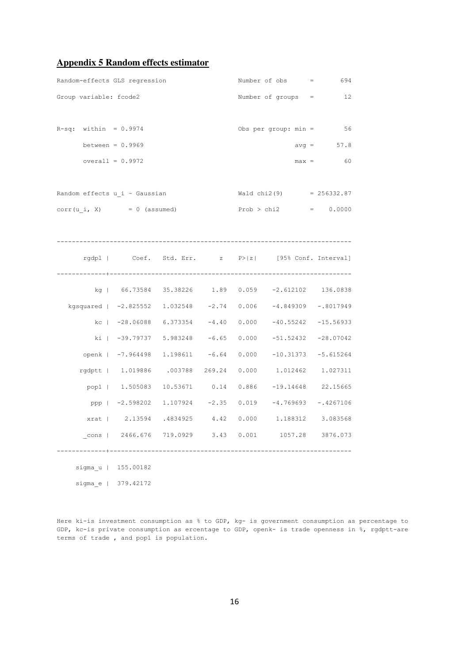### **Appendix 5 Random effects estimator**

| Random-effects GLS regression                                  |  |  | Number of $obs$ = 694                                      |              |
|----------------------------------------------------------------|--|--|------------------------------------------------------------|--------------|
| Group variable: fcode2                                         |  |  | Number of groups $=$ 12                                    |              |
|                                                                |  |  |                                                            |              |
| $R-sq$ : within = 0.9974                                       |  |  | Obs per group: $min = 56$                                  |              |
| between = $0.9969$                                             |  |  |                                                            | $avg = 57.8$ |
| overall = $0.9972$                                             |  |  |                                                            | $max = 60$   |
|                                                                |  |  |                                                            |              |
| Random effects u i ~ Gaussian                                  |  |  | $Wald chi2(9) = 256332.87$                                 |              |
| $corr(u_i, X) = 0$ (assumed)                                   |  |  | $Prob > chi2 = 0.0000$                                     |              |
|                                                                |  |  |                                                            |              |
|                                                                |  |  |                                                            |              |
|                                                                |  |  | rgdpl   Coef. Std. Err. z P> z  [95% Conf. Interval]       |              |
|                                                                |  |  |                                                            |              |
|                                                                |  |  | kg   66.73584 35.38226 1.89 0.059 -2.612102 136.0838       |              |
| kgsquared   -2.825552 1.032548 -2.74 0.006 -4.849309 -.8017949 |  |  |                                                            |              |
|                                                                |  |  | kc   -28.06088 6.373354 -4.40 0.000 -40.55242 -15.56933    |              |
|                                                                |  |  | ki   -39.79737 5.983248 -6.65 0.000 -51.52432 -28.07042    |              |
|                                                                |  |  | openk   -7.964498 1.198611 -6.64 0.000 -10.31373 -5.615264 |              |
|                                                                |  |  | rgdptt   1.019886 .003788 269.24 0.000 1.012462 1.027311   |              |
|                                                                |  |  | pop1   1.505083 10.53671 0.14 0.886 -19.14648 22.15665     |              |
|                                                                |  |  | ppp   -2.598202 1.107924 -2.35 0.019 -4.769693 -.4267106   |              |
|                                                                |  |  | xrat   2.13594 .4834925 4.42 0.000 1.188312 3.083568       |              |
|                                                                |  |  | cons   2466.676 719.0929 3.43 0.001 1057.28 3876.073       |              |
| sigma u   155.00182                                            |  |  |                                                            |              |

sigma\_e | 379.42172

Here ki-is investment consumption as % to GDP, kg- is government consumption as percentage to GDP, kc-is private consumption as ercentage to GDP, openk- is trade openness in %, rgdptt-are terms of trade , and pop1 is population.